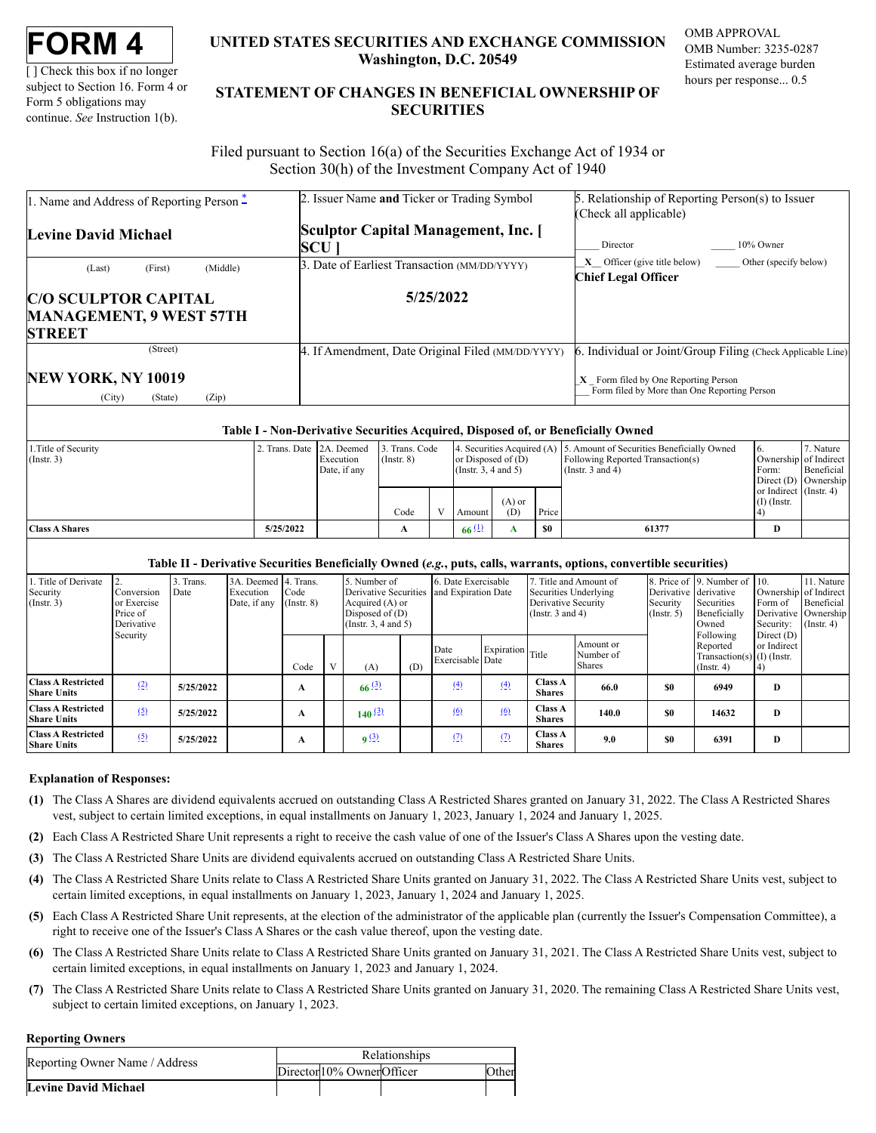| FORM |  |
|------|--|
|------|--|

[ ] Check this box if no longer subject to Section 16. Form 4 or Form 5 obligations may continue. *See* Instruction 1(b).

# **UNITED STATES SECURITIES AND EXCHANGE COMMISSION Washington, D.C. 20549**

OMB APPROVAL OMB Number: 3235-0287 Estimated average burden hours per response... 0.5

# **STATEMENT OF CHANGES IN BENEFICIAL OWNERSHIP OF SECURITIES**

Filed pursuant to Section 16(a) of the Securities Exchange Act of 1934 or Section 30(h) of the Investment Company Act of 1940

| 1. Name and Address of Reporting Person -        | 2. Issuer Name and Ticker or Trading Symbol       | 5. Relationship of Reporting Person(s) to Issuer                                       |  |  |  |  |  |
|--------------------------------------------------|---------------------------------------------------|----------------------------------------------------------------------------------------|--|--|--|--|--|
|                                                  |                                                   | (Check all applicable)                                                                 |  |  |  |  |  |
| Levine David Michael                             | Sculptor Capital Management, Inc. [               |                                                                                        |  |  |  |  |  |
|                                                  | <b>SCU</b>                                        | 10% Owner<br>Director                                                                  |  |  |  |  |  |
| (Middle)<br>(First)                              | 3. Date of Earliest Transaction (MM/DD/YYYY)      | $X$ Officer (give title below)<br>Other (specify below)                                |  |  |  |  |  |
| (Last)                                           |                                                   | <b>Chief Legal Officer</b>                                                             |  |  |  |  |  |
| <b>C/O SCULPTOR CAPITAL</b>                      | 5/25/2022                                         |                                                                                        |  |  |  |  |  |
| <b>MANAGEMENT, 9 WEST 57TH</b>                   |                                                   |                                                                                        |  |  |  |  |  |
| <b>STREET</b>                                    |                                                   |                                                                                        |  |  |  |  |  |
| (Street)                                         | 4. If Amendment, Date Original Filed (MM/DD/YYYY) | 6. Individual or Joint/Group Filing (Check Applicable Line)                            |  |  |  |  |  |
| NEW YORK, NY 10019<br>(Zip)<br>(City)<br>(State) |                                                   | $X$ Form filed by One Reporting Person<br>Form filed by More than One Reporting Person |  |  |  |  |  |

### **Table I - Non-Derivative Securities Acquired, Disposed of, or Beneficially Owned**

| 1. Title of Security  | 2. Trans. Date 2A. Deemed |              | 3. Trans. Code  |  |                           |          |       | 4. Securities Acquired (A) 5. Amount of Securities Beneficially Owned | $\mathbf{b}$           | 7. Nature  |
|-----------------------|---------------------------|--------------|-----------------|--|---------------------------|----------|-------|-----------------------------------------------------------------------|------------------------|------------|
| $($ Instr. 3)         |                           | Execution    | $($ Instr. $8)$ |  | or Disposed of $(D)$      |          |       | Following Reported Transaction(s)                                     | Ownership of Indirect  |            |
|                       |                           | Date, if any |                 |  | $($ Instr. 3, 4 and 5 $)$ |          |       | (Instr. $3$ and $4$ )                                                 | Form:                  | Beneficial |
|                       |                           |              |                 |  |                           |          |       |                                                                       | Direct (D) Ownership   |            |
|                       |                           |              |                 |  |                           |          |       |                                                                       | or Indirect (Instr. 4) |            |
|                       |                           |              |                 |  |                           | $(A)$ or |       |                                                                       | $(I)$ (Instr.          |            |
|                       |                           |              | Code            |  | Amount                    | (D)      | Price |                                                                       |                        |            |
| <b>Class A Shares</b> | 5/25/2022                 |              | A               |  | 66(1)                     |          | - \$0 | 61377                                                                 | D                      |            |
|                       |                           |              |                 |  |                           |          |       |                                                                       |                        |            |

## **Table II - Derivative Securities Beneficially Owned (***e.g.***, puts, calls, warrants, options, convertible securities)**

| Title of Derivate<br>Security<br>$($ Instr. 3)  | Conversion<br>or Exercise<br>Price of<br>Derivative<br>Security |           | 3. Trans.<br>Date | 3A. Deemed 4. Trans.<br>Execution<br>Date, if any | Code<br>$($ Instr. $8)$ |             | 5. Number of<br>Derivative Securities<br>Acquired (A) or<br>Disposed of $(D)$<br>(Instr. $3, 4$ and $5$ ) |                          | 6. Date Exercisable<br>and Expiration Date |                                 | Securities Underlying<br>Derivative Security<br>(Instr. $3$ and $4$ ) | Title and Amount of | Derivative derivative<br>Security<br>$($ Instr. 5 $)$                     | 8. Price of 9. Number of 10.<br>Securities<br>Beneficially<br>Owned | Ownership of Indirect<br>Form of<br>Security: | 11. Nature<br>Beneficial<br>Derivative Ownership<br>$($ Instr. 4 $)$ |
|-------------------------------------------------|-----------------------------------------------------------------|-----------|-------------------|---------------------------------------------------|-------------------------|-------------|-----------------------------------------------------------------------------------------------------------|--------------------------|--------------------------------------------|---------------------------------|-----------------------------------------------------------------------|---------------------|---------------------------------------------------------------------------|---------------------------------------------------------------------|-----------------------------------------------|----------------------------------------------------------------------|
|                                                 |                                                                 |           |                   | Code                                              | $\mathbf{V}$            | (A)         | (D)                                                                                                       | Date<br>Exercisable Date | Expiration Title                           |                                 | Amount or<br>Number of<br><b>Shares</b>                               |                     | Following<br>Reported<br>Transaction(s) $(I)$ (Instr.<br>$($ Instr. 4 $)$ | Direct $(D)$<br>or Indirect                                         |                                               |                                                                      |
| <b>Class A Restricted</b><br><b>Share Units</b> | (2)                                                             | 5/25/2022 |                   | А                                                 |                         | 66(3)       |                                                                                                           | (4)                      | (4)                                        | <b>Class A</b><br><b>Shares</b> | 66.0                                                                  | \$0                 | 6949                                                                      | D                                                                   |                                               |                                                                      |
| <b>Class A Restricted</b><br><b>Share Units</b> | (5)                                                             | 5/25/2022 |                   | А                                                 |                         | $140^{(3)}$ |                                                                                                           | (6)                      | (6)                                        | <b>Class A</b><br><b>Shares</b> | 140.0                                                                 | \$0                 | 14632                                                                     | D                                                                   |                                               |                                                                      |
| <b>Class A Restricted</b><br><b>Share Units</b> | (5)                                                             | 5/25/2022 |                   | А                                                 |                         | q(3)        |                                                                                                           | (2)                      | (2)                                        | <b>Class A</b><br><b>Shares</b> | 9.0                                                                   | \$0                 | 6391                                                                      | D                                                                   |                                               |                                                                      |

### **Explanation of Responses:**

- <span id="page-0-0"></span>**(1)** The Class A Shares are dividend equivalents accrued on outstanding Class A Restricted Shares granted on January 31, 2022. The Class A Restricted Shares vest, subject to certain limited exceptions, in equal installments on January 1, 2023, January 1, 2024 and January 1, 2025.
- <span id="page-0-1"></span>**(2)** Each Class A Restricted Share Unit represents a right to receive the cash value of one of the Issuer's Class A Shares upon the vesting date.
- <span id="page-0-2"></span>**(3)** The Class A Restricted Share Units are dividend equivalents accrued on outstanding Class A Restricted Share Units.
- <span id="page-0-3"></span>**(4)** The Class A Restricted Share Units relate to Class A Restricted Share Units granted on January 31, 2022. The Class A Restricted Share Units vest, subject to certain limited exceptions, in equal installments on January 1, 2023, January 1, 2024 and January 1, 2025.
- <span id="page-0-4"></span>**(5)** Each Class A Restricted Share Unit represents, at the election of the administrator of the applicable plan (currently the Issuer's Compensation Committee), a right to receive one of the Issuer's Class A Shares or the cash value thereof, upon the vesting date.
- <span id="page-0-5"></span>**(6)** The Class A Restricted Share Units relate to Class A Restricted Share Units granted on January 31, 2021. The Class A Restricted Share Units vest, subject to certain limited exceptions, in equal installments on January 1, 2023 and January 1, 2024.
- <span id="page-0-6"></span>**(7)** The Class A Restricted Share Units relate to Class A Restricted Share Units granted on January 31, 2020. The remaining Class A Restricted Share Units vest, subject to certain limited exceptions, on January 1, 2023.

#### **Reporting Owners**

| Reporting Owner Name / Address | Relationships |                            |  |       |  |  |
|--------------------------------|---------------|----------------------------|--|-------|--|--|
|                                |               | Director 10% Owner Officer |  | )ther |  |  |
| Levine David Michael           |               |                            |  |       |  |  |